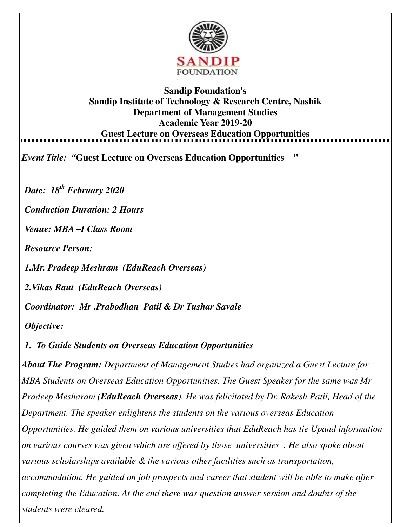

## **Sandip Foundation's Sandip Institute of Technology & Research Centre, Nashik Department of Management Studies Academic Year 2019-20 Guest Lecture on Overseas Education Opportunities**

*Event Title: "***Guest Lecture on Overseas Education Opportunities "** 

*Date: 18th February 2020* 

*Conduction Duration: 2 Hours* 

*Venue: MBA –I Class Room* 

*Resource Person:* 

*1.Mr. Pradeep Meshram (EduReach Overseas)* 

*2.Vikas Raut (EduReach Overseas)* 

*Coordinator: Mr .Prabodhan Patil & Dr Tushar Savale* 

*Objective:* 

*1. To Guide Students on Overseas Education Opportunities* 

*About The Program: Department of Management Studies had organized a Guest Lecture for MBA Students on Overseas Education Opportunities. The Guest Speaker for the same was Mr Pradeep Mesharam (EduReach Overseas). He was felicitated by Dr. Rakesh Patil, Head of the Department. The speaker enlightens the students on the various overseas Education Opportunities. He guided them on various universities that EduReach has tie Upand information on various courses was given which are offered by those universities . He also spoke about various scholarships available & the various other facilities such as transportation, accommodation. He guided on job prospects and career that student will be able to make after completing the Education. At the end there was question answer session and doubts of the students were cleared.*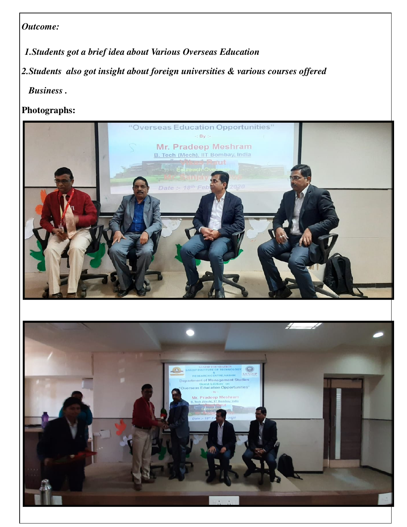## *Outcome:*

*1.Students got a brief idea about Various Overseas Education* 

*2.Students also got insight about foreign universities & various courses offered* 

 *Business .* 

## **Photographs:**



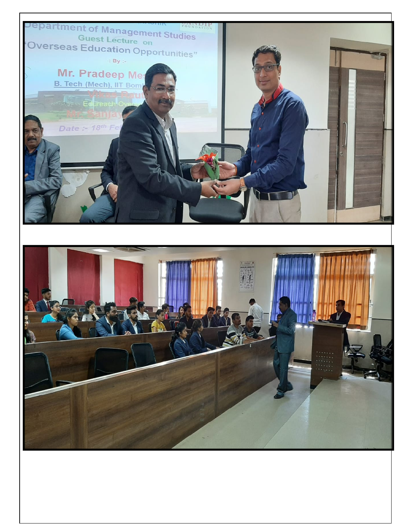